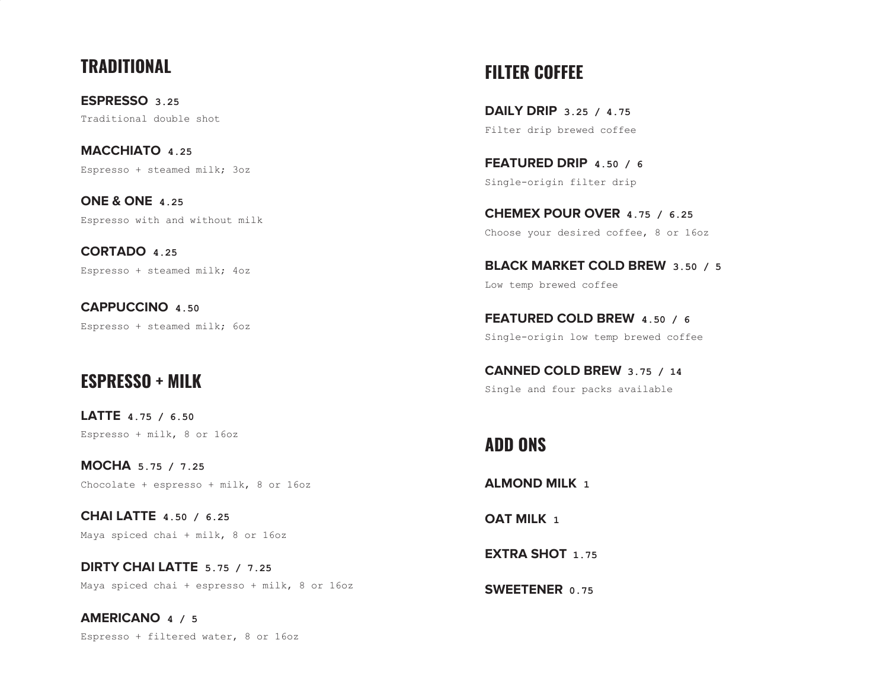# **TRADITIONAL**

**ESPRESSO 3.25** Traditional double shot

**MACCHIATO 4.25** Espresso + steamed milk; 3oz

**ONE & ONE 4.25** Espresso with and without milk

**CORTADO 4.25** Espresso + steamed milk; 4oz

**CAPPUCCINO 4.50** Espresso + steamed milk; 6oz

# **ESPRESSO + MILK**

**LATTE 4.75 / 6.50** Espresso + milk, 8 or 16oz

**MOCHA 5.75 / 7.25** Chocolate + espresso + milk, 8 or 16oz

**CHAI LATTE 4.50 / 6.25** Maya spiced chai + milk, 8 or 16oz

**DIRTY CHAI LATTE 5.75 / 7.25** Maya spiced chai + espresso + milk, 8 or 16oz

**AMERICANO 4 / 5** Espresso + filtered water, 8 or 16oz

# **FILTER COFFEE**

**DAILY DRIP 3.25 / 4.75** Filter drip brewed coffee

**FEATURED DRIP 4.50 / 6** Single-origin filter drip

**CHEMEX POUR OVER 4.75 / 6.25** Choose your desired coffee, 8 or 16oz

**BLACK MARKET COLD BREW 3.50 / 5** Low temp brewed coffee

**FEATURED COLD BREW 4.50 / 6** Single-origin low temp brewed coffee

**CANNED COLD BREW 3.75 / 14** Single and four packs available

# **ADD ONS**

**ALMOND MILK 1**

**OAT MILK 1**

**EXTRA SHOT 1.75**

**SWEETENER** 0.75